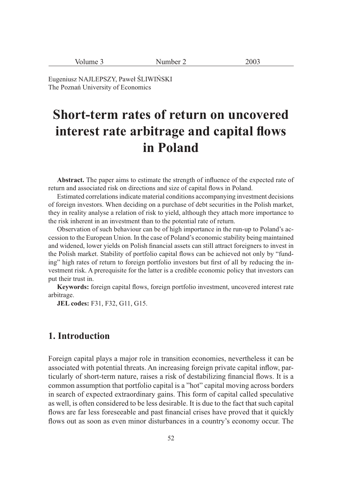| Volume 3 | Number 2 | 2003 |
|----------|----------|------|
|----------|----------|------|

Eugeniusz NAJLEPSZY, Paweł ŚLIWIŃSKI The Poznań University of Economics

# **Short-term rates of return on uncovered**  interest rate arbitrage and capital flows **in Poland**

Abstract. The paper aims to estimate the strength of influence of the expected rate of return and associated risk on directions and size of capital flows in Poland.

Estimated correlations indicate material conditions accompanying investment decisions of foreign investors. When deciding on a purchase of debt securities in the Polish market, they in reality analyse a relation of risk to yield, although they attach more importance to the risk inherent in an investment than to the potential rate of return.

Observation of such behaviour can be of high importance in the run-up to Poland's accession to the European Union. In the case of Poland's economic stability being maintained and widened, lower yields on Polish financial assets can still attract foreigners to invest in the Polish market. Stability of portfolio capital flows can be achieved not only by "funding" high rates of return to foreign portfolio investors but first of all by reducing the investment risk. A prerequisite for the latter is a credible economic policy that investors can put their trust in.

Keywords: foreign capital flows, foreign portfolio investment, uncovered interest rate arbitrage.

**JEL codes:** F31, F32, G11, G15.

#### **1. Introduction**

Foreign capital plays a major role in transition economies, nevertheless it can be associated with potential threats. An increasing foreign private capital inflow, particularly of short-term nature, raises a risk of destabilizing financial flows. It is a common assumption that portfolio capital is a "hot" capital moving across borders in search of expected extraordinary gains. This form of capital called speculative as well, is often considered to be less desirable. It is due to the fact that such capital flows are far less foreseeable and past financial crises have proved that it quickly flows out as soon as even minor disturbances in a country's economy occur. The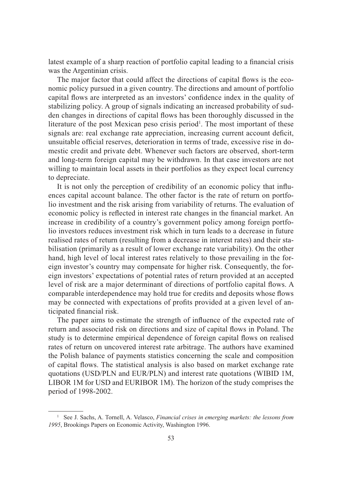latest example of a sharp reaction of portfolio capital leading to a financial crisis was the Argentinian crisis.

The major factor that could affect the directions of capital flows is the economic policy pursued in a given country. The directions and amount of portfolio capital flows are interpreted as an investors' confidence index in the quality of stabilizing policy. A group of signals indicating an increased probability of sudden changes in directions of capital flows has been thoroughly discussed in the literature of the post Mexican peso crisis period<sup>1</sup>. The most important of these signals are: real exchange rate appreciation, increasing current account deficit, unsuitable official reserves, deterioration in terms of trade, excessive rise in domestic credit and private debt. Whenever such factors are observed, short-term and long-term foreign capital may be withdrawn. In that case investors are not willing to maintain local assets in their portfolios as they expect local currency to depreciate.

It is not only the perception of credibility of an economic policy that influences capital account balance. The other factor is the rate of return on portfolio investment and the risk arising from variability of returns. The evaluation of economic policy is reflected in interest rate changes in the financial market. An increase in credibility of a country's government policy among foreign portfolio investors reduces investment risk which in turn leads to a decrease in future realised rates of return (resulting from a decrease in interest rates) and their stabilisation (primarily as a result of lower exchange rate variability). On the other hand, high level of local interest rates relatively to those prevailing in the foreign investor's country may compensate for higher risk. Consequently, the foreign investors' expectations of potential rates of return provided at an accepted level of risk are a major determinant of directions of portfolio capital flows. A comparable interdependence may hold true for credits and deposits whose flows may be connected with expectations of profits provided at a given level of anticipated financial risk.

The paper aims to estimate the strength of influence of the expected rate of return and associated risk on directions and size of capital flows in Poland. The study is to determine empirical dependence of foreign capital flows on realised rates of return on uncovered interest rate arbitrage. The authors have examined the Polish balance of payments statistics concerning the scale and composition of capital flows. The statistical analysis is also based on market exchange rate quotations (USD/PLN and EUR/PLN) and interest rate quotations (WIBID 1M, LIBOR 1M for USD and EURIBOR 1M). The horizon of the study comprises the period of 1998-2002.

<sup>1</sup> See J. Sachs, A. Tornell, A. Velasco, *Financial crises in emerging markets: the lessons from 1995*, Brookings Papers on Economic Activity, Washington 1996.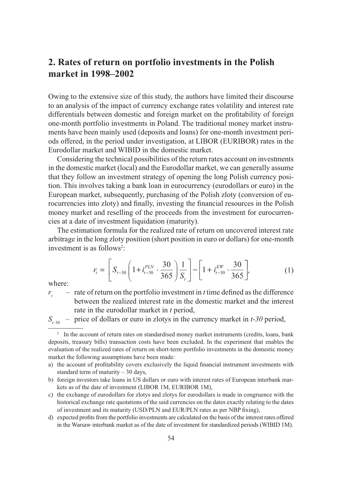## **2. Rates of return on portfolio investments in the Polish market in 1998–2002**

Owing to the extensive size of this study, the authors have limited their discourse to an analysis of the impact of currency exchange rates volatility and interest rate differentials between domestic and foreign market on the profitability of foreign one-month portfolio investments in Poland. The traditional money market instruments have been mainly used (deposits and loans) for one-month investment periods offered, in the period under investigation, at LIBOR (EURIBOR) rates in the Eurodollar market and WIBID in the domestic market.

Considering the technical possibilities of the return rates account on investments in the domestic market (local) and the Eurodollar market, we can generally assume that they follow an investment strategy of opening the long Polish currency position. This involves taking a bank loan in eurocurrency (eurodollars or euro) in the European market, subsequently, purchasing of the Polish zloty (conversion of eurocurrencies into zloty) and finally, investing the financial resources in the Polish money market and reselling of the proceeds from the investment for eurocurrencies at a date of investment liquidation (maturity).

The estimation formula for the realized rate of return on uncovered interest rate arbitrage in the long zloty position (short position in euro or dollars) for one-month investment is as follows<sup>2</sup>:

$$
r_{t} = \left[ S_{t-30} \left( 1 + i_{t-30}^{PLN} \cdot \frac{30}{365} \right) \frac{1}{S_{t}} \right] - \left[ 1 + i_{t-30}^{EW} \cdot \frac{30}{365} \right],
$$
 (1)

where:

*rt*  $-$  rate of return on the portfolio investment in  $t$  time defined as the difference between the realized interest rate in the domestic market and the interest rate in the eurodollar market in *t* period,

 $S_{t-30}$  – price of dollars or euro in zlotys in the currency market in *t*-30 period,

<sup>&</sup>lt;sup>2</sup> In the account of return rates on standardised money market instruments (credits, loans, bank deposits, treasury bills) transaction costs have been excluded. In the experiment that enables the evaluation of the realized rates of return on short-term portfolio investments in the domestic money market the following assumptions have been made:

a) the account of profitability covers exclusively the liquid financial instrument investments with standard term of maturity – 30 days,

b) foreign investors take loans in US dollars or euro with interest rates of European interbank markets as of the date of investment (LIBOR 1M, EURIBOR 1M),

c) the exchange of eurodollars for zlotys and zlotys for eurodollars is made in congruence with the historical exchange rate quotations of the said currencies on the dates exactly relating to the dates of investment and its maturity (USD/PLN and EUR/PLN rates as per NBP fixing),

d) expected profits from the portfolio investments are calculated on the basis of the interest rates offered in the Warsaw interbank market as of the date of investment for standardized periods (WIBID 1M).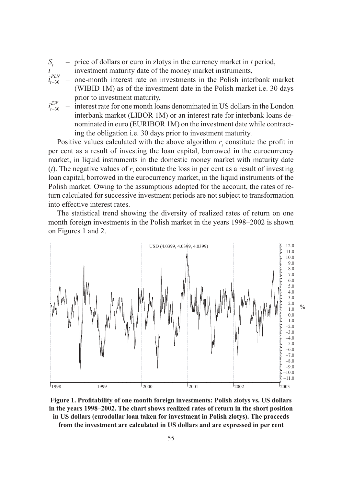- *St* – price of dollars or euro in zlotys in the currency market in *t* period,
- investment maturity date of the money market instruments,
- *i t PLN* 30 – one-month interest rate on investments in the Polish interbank market (WIBID 1M) as of the investment date in the Polish market i.e. 30 days prior to investment maturity,
- *i t EW* 30 – interest rate for one month loans denominated in US dollars in the London interbank market (LIBOR 1M) or an interest rate for interbank loans denominated in euro (EURIBOR 1M) on the investment date while contracting the obligation i.e. 30 days prior to investment maturity.

Positive values calculated with the above algorithm  $r<sub>i</sub>$  constitute the profit in per cent as a result of investing the loan capital, borrowed in the eurocurrency market, in liquid instruments in the domestic money market with maturity date (*t*). The negative values of  $r<sub>t</sub>$  constitute the loss in per cent as a result of investing loan capital, borrowed in the eurocurrency market, in the liquid instruments of the Polish market. Owing to the assumptions adopted for the account, the rates of return calculated for successive investment periods are not subject to transformation into effective interest rates.

The statistical trend showing the diversity of realized rates of return on one month foreign investments in the Polish market in the years 1998–2002 is shown on Figures 1 and 2.



Figure 1. Profitability of one month foreign investments: Polish zlotys vs. US dollars **in the years 1998–2002. The chart shows realized rates of return in the short position in US dollars (eurodollar loan taken for investment in Polish zlotys). The proceeds from the investment are calculated in US dollars and are expressed in per cent**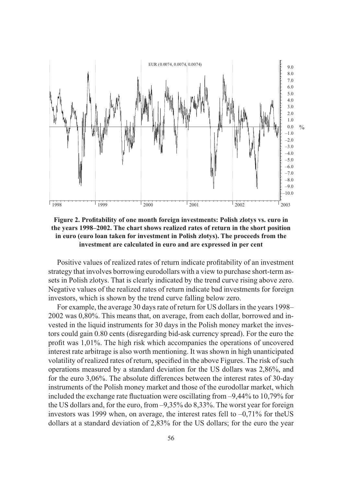

Figure 2. Profitability of one month foreign investments: Polish zlotys vs. euro in **the years 1998–2002. The chart shows realized rates of return in the short position in euro (euro loan taken for investment in Polish zlotys). The proceeds from the investment are calculated in euro and are expressed in per cent**

Positive values of realized rates of return indicate profitability of an investment strategy that involves borrowing eurodollars with a view to purchase short-term assets in Polish zlotys. That is clearly indicated by the trend curve rising above zero. Negative values of the realized rates of return indicate bad investments for foreign investors, which is shown by the trend curve falling below zero.

For example, the average 30 days rate of return for US dollars in the years 1998– 2002 was 0,80%. This means that, on average, from each dollar, borrowed and invested in the liquid instruments for 30 days in the Polish money market the investors could gain 0.80 cents (disregarding bid-ask currency spread). For the euro the profit was  $1,01\%$ . The high risk which accompanies the operations of uncovered interest rate arbitrage is also worth mentioning. It was shown in high unanticipated volatility of realized rates of return, specified in the above Figures. The risk of such operations measured by a standard deviation for the US dollars was 2,86%, and for the euro 3,06%. The absolute differences between the interest rates of 30-day instruments of the Polish money market and those of the eurodollar market, which included the exchange rate fluctuation were oscillating from  $-9,44\%$  to 10,79% for the US dollars and, for the euro, from –9,35% do 8,33%. The worst year for foreign investors was 1999 when, on average, the interest rates fell to –0,71% for theUS dollars at a standard deviation of 2,83% for the US dollars; for the euro the year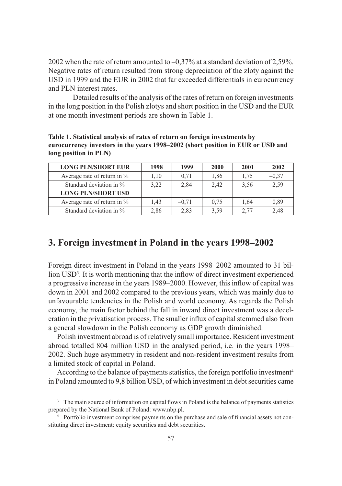2002 when the rate of return amounted to  $-0.37\%$  at a standard deviation of 2,59%. Negative rates of return resulted from strong depreciation of the zloty against the USD in 1999 and the EUR in 2002 that far exceeded differentials in eurocurrency and PLN interest rates.

 Detailed results of the analysis of the rates of return on foreign investments in the long position in the Polish zlotys and short position in the USD and the EUR at one month investment periods are shown in Table 1.

**Table 1. Statistical analysis of rates of return on foreign investments by eurocurrency investors in the years 1998–2002 (short position in EUR or USD and long position in PLN)**

| <b>LONG PLN/SHORT EUR</b>      | 1998 | 1999    | 2000 | 2001 | 2002    |
|--------------------------------|------|---------|------|------|---------|
| Average rate of return in $\%$ | 1.10 | 0,71    | 1,86 | 1,75 | $-0,37$ |
| Standard deviation in $\%$     | 3,22 | 2,84    | 2.42 | 3,56 | 2,59    |
| <b>LONG PLN/SHORT USD</b>      |      |         |      |      |         |
| Average rate of return in $\%$ | 1,43 | $-0.71$ | 0.75 | 1.64 | 0,89    |
| Standard deviation in $\%$     | 2,86 | 2,83    | 3,59 | 2,77 | 2,48    |

## **3. Foreign investment in Poland in the years 1998–2002**

Foreign direct investment in Poland in the years 1998–2002 amounted to 31 billion USD<sup>3</sup>. It is worth mentioning that the inflow of direct investment experienced a progressive increase in the years 1989–2000. However, this inflow of capital was down in 2001 and 2002 compared to the previous years, which was mainly due to unfavourable tendencies in the Polish and world economy. As regards the Polish economy, the main factor behind the fall in inward direct investment was a deceleration in the privatisation process. The smaller influx of capital stemmed also from a general slowdown in the Polish economy as GDP growth diminished.

Polish investment abroad is of relatively small importance. Resident investment abroad totalled 804 million USD in the analysed period, i.e. in the years 1998– 2002. Such huge asymmetry in resident and non-resident investment results from a limited stock of capital in Poland.

According to the balance of payments statistics, the foreign portfolio investment<sup>4</sup> in Poland amounted to 9,8 billion USD, of which investment in debt securities came

<sup>&</sup>lt;sup>3</sup> The main source of information on capital flows in Poland is the balance of payments statistics prepared by the National Bank of Poland: www.nbp.pl.

<sup>&</sup>lt;sup>4</sup> Portfolio investment comprises payments on the purchase and sale of financial assets not constituting direct investment: equity securities and debt securities.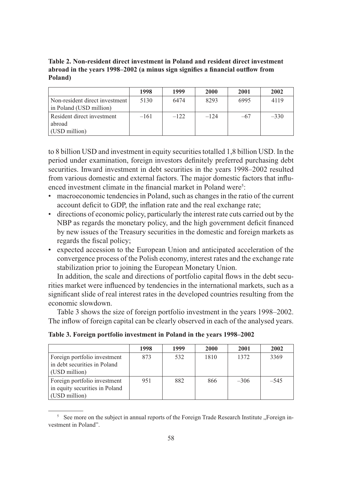**Table 2. Non-resident direct investment in Poland and resident direct investment**  abroad in the years 1998–2002 (a minus sign signifies a financial outflow from **Poland)**

|                                                             | 1998   | 1999   | <b>2000</b> | 2001  | 2002   |
|-------------------------------------------------------------|--------|--------|-------------|-------|--------|
| Non-resident direct investment  <br>in Poland (USD million) | 5130   | 6474   | 8293        | 6995  | 4119   |
| Resident direct investment                                  | $-161$ | $-122$ | $-124$      | $-67$ | $-330$ |
| abroad                                                      |        |        |             |       |        |
| (USD million)                                               |        |        |             |       |        |

to 8 billion USD and investment in equity securities totalled 1,8 billion USD. In the period under examination, foreign investors definitely preferred purchasing debt securities. Inward investment in debt securities in the years 1998–2002 resulted from various domestic and external factors. The major domestic factors that influenced investment climate in the financial market in Poland were<sup>5</sup>:

- macroeconomic tendencies in Poland, such as changes in the ratio of the current account deficit to GDP, the inflation rate and the real exchange rate;
- directions of economic policy, particularly the interest rate cuts carried out by the NBP as regards the monetary policy, and the high government deficit financed by new issues of the Treasury securities in the domestic and foreign markets as regards the fiscal policy;
- expected accession to the European Union and anticipated acceleration of the convergence process of the Polish economy, interest rates and the exchange rate stabilization prior to joining the European Monetary Union.

In addition, the scale and directions of portfolio capital flows in the debt securities market were influenced by tendencies in the international markets, such as a significant slide of real interest rates in the developed countries resulting from the economic slowdown.

Table 3 shows the size of foreign portfolio investment in the years 1998–2002. The inflow of foreign capital can be clearly observed in each of the analysed years.

**Table 3. Foreign portfolio investment in Poland in the years 1998–2002**

|                                | 1998 | 1999 | <b>2000</b> | 2001   | 2002   |
|--------------------------------|------|------|-------------|--------|--------|
| Foreign portfolio investment   | 873  | 532  | 1810        | 1372   | 3369   |
| in debt securities in Poland   |      |      |             |        |        |
| (USD million)                  |      |      |             |        |        |
| Foreign portfolio investment   | 951  | 882  | 866         | $-306$ | $-545$ |
| in equity securities in Poland |      |      |             |        |        |
| (USD million)                  |      |      |             |        |        |

 $5$  See more on the subject in annual reports of the Foreign Trade Research Institute "Foreign investment in Poland".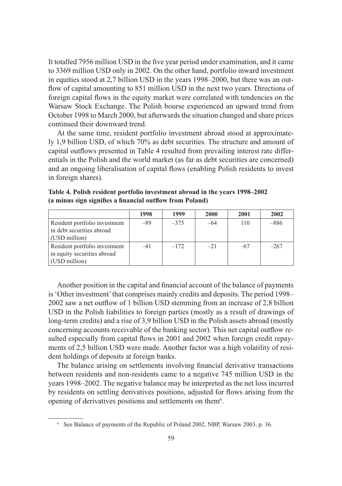It totalled 7956 million USD in the five year period under examination, and it came to 3369 million USD only in 2002. On the other hand, portfolio inward investment in equities stood at 2,7 billion USD in the years 1998–2000, but there was an outflow of capital amounting to 851 million USD in the next two vears. Directions of foreign capital flows in the equity market were correlated with tendencies on the Warsaw Stock Exchange. The Polish bourse experienced an upward trend from October 1998 to March 2000, but afterwards the situation changed and share prices continued their downward trend.

At the same time, resident portfolio investment abroad stood at approximately 1,9 billion USD, of which 70% as debt securities. The structure and amount of capital outflows presented in Table 4 resulted from prevailing interest rate differentials in the Polish and the world market (as far as debt securities are concerned) and an ongoing liberalisation of capital flows (enabling Polish residents to invest in foreign shares).

|                               | 1998  | 1999   | 2000   | 2001  | 2002   |
|-------------------------------|-------|--------|--------|-------|--------|
| Resident portfolio investment | $-89$ | $-375$ | $-64$  | 110   | $-886$ |
| in debt securities abroad     |       |        |        |       |        |
| (USD million)                 |       |        |        |       |        |
| Resident portfolio investment | -41   | $-172$ | $-2.1$ | $-67$ | $-267$ |
| in equity securities abroad   |       |        |        |       |        |
| (USD million)                 |       |        |        |       |        |

**Table 4. Polish resident portfolio investment abroad in the years 1998–2002** (a minus sign signifies a financial outflow from Poland)

Another position in the capital and financial account of the balance of payments is 'Other investment' that comprises mainly credits and deposits. The period 1998– 2002 saw a net outflow of 1 billion USD stemming from an increase of 2,8 billion USD in the Polish liabilities to foreign parties (mostly as a result of drawings of long-term credits) and a rise of 3,9 billion USD in the Polish assets abroad (mostly concerning accounts receivable of the banking sector). This net capital outflow resulted especially from capital flows in 2001 and 2002 when foreign credit repayments of 2,5 billion USD were made. Another factor was a high volatility of resident holdings of deposits at foreign banks.

The balance arising on settlements involving financial derivative transactions between residents and non-residents came to a negative 745 million USD in the years 1998–2002. The negative balance may be interpreted as the net loss incurred by residents on settling derivatives positions, adjusted for flows arising from the opening of derivatives positions and settlements on them<sup>6</sup>.

<sup>6</sup> See Balance of payments of the Republic of Poland 2002, NBP, Warsaw 2003, p. 36.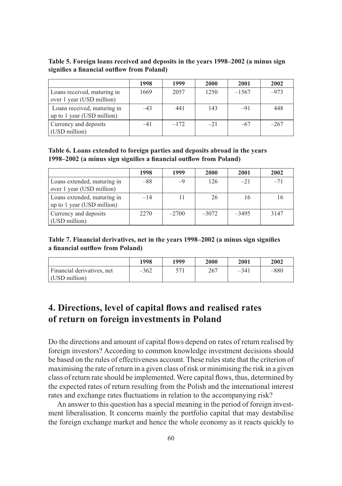**Table 5. Foreign loans received and deposits in the years 1998–2002 (a minus sign**  signifies a financial outflow from Poland)

|                                                           | 1998  | 1999   | 2000   | 2001    | 2002   |
|-----------------------------------------------------------|-------|--------|--------|---------|--------|
| Loans received, maturing in<br>over 1 year (USD million)  | 1669  | 2057   | 1250   | $-1567$ | $-973$ |
| Loans received, maturing in<br>up to 1 year (USD million) | $-43$ | 441    | 143    | $-91$   | 448    |
| Currency and deposits<br>(USD million)                    | $-41$ | $-172$ | $-2.1$ | $-67$   | $-267$ |

**Table 6. Loans extended to foreign parties and deposits abroad in the years**  1998–2002 (a minus sign signifies a financial outflow from Poland)

|                                                           | 1998  | 1999    | 2000    | 2001    | 2002  |
|-----------------------------------------------------------|-------|---------|---------|---------|-------|
| Loans extended, maturing in<br>over 1 year (USD million)  | $-88$ | $-9$    | 126     | $-2.1$  | $-71$ |
| Loans extended, maturing in<br>up to 1 year (USD million) | $-14$ |         | 26      | 16      | 16    |
| Currency and deposits<br>(USD million)                    | 2270  | $-2700$ | $-3072$ | $-3495$ | 3147  |

Table 7. Financial derivatives, net in the years 1998–2002 (a minus sign signifies a financial outflow from Poland)

|                                             | 1998   | 1999 | 2000 | 2001   | 2002   |
|---------------------------------------------|--------|------|------|--------|--------|
| Financial derivatives, net<br>(USD million) | $-362$ | 571  | 267  | $-341$ | $-880$ |

### **4. Directions, level of capital flows and realised rates of return on foreign investments in Poland**

Do the directions and amount of capital flows depend on rates of return realised by foreign investors? According to common knowledge investment decisions should be based on the rules of effectiveness account. These rules state that the criterion of maximising the rate of return in a given class of risk or minimising the risk in a given class of return rate should be implemented. Were capital flows, thus, determined by the expected rates of return resulting from the Polish and the international interest rates and exchange rates fluctuations in relation to the accompanying risk?

An answer to this question has a special meaning in the period of foreign investment liberalisation. It concerns mainly the portfolio capital that may destabilise the foreign exchange market and hence the whole economy as it reacts quickly to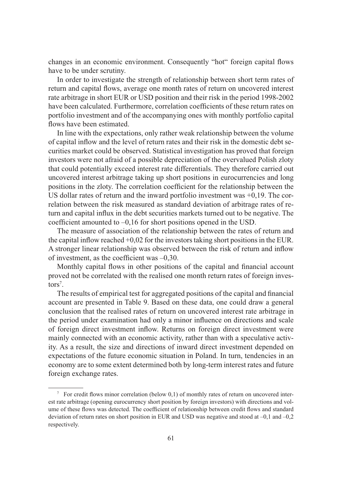changes in an economic environment. Consequently "hot" foreign capital flows have to be under scrutiny.

In order to investigate the strength of relationship between short term rates of return and capital flows, average one month rates of return on uncovered interest rate arbitrage in short EUR or USD position and their risk in the period 1998-2002 have been calculated. Furthermore, correlation coefficients of these return rates on portfolio investment and of the accompanying ones with monthly portfolio capital flows have been estimated.

In line with the expectations, only rather weak relationship between the volume of capital inflow and the level of return rates and their risk in the domestic debt securities market could be observed. Statistical investigation has proved that foreign investors were not afraid of a possible depreciation of the overvalued Polish zloty that could potentially exceed interest rate differentials. They therefore carried out uncovered interest arbitrage taking up short positions in eurocurrencies and long positions in the zloty. The correlation coefficient for the relationship between the US dollar rates of return and the inward portfolio investment was  $+0.19$ . The correlation between the risk measured as standard deviation of arbitrage rates of return and capital influx in the debt securities markets turned out to be negative. The coefficient amounted to  $-0.16$  for short positions opened in the USD.

The measure of association of the relationship between the rates of return and the capital inflow reached  $+0.02$  for the investors taking short positions in the EUR. A stronger linear relationship was observed between the risk of return and inflow of investment, as the coefficient was  $-0.30$ .

Monthly capital flows in other positions of the capital and financial account proved not be correlated with the realised one month return rates of foreign inves $tors<sup>7</sup>$ .

The results of empirical test for aggregated positions of the capital and financial account are presented in Table 9. Based on these data, one could draw a general conclusion that the realised rates of return on uncovered interest rate arbitrage in the period under examination had only a minor influence on directions and scale of foreign direct investment inflow. Returns on foreign direct investment were mainly connected with an economic activity, rather than with a speculative activity. As a result, the size and directions of inward direct investment depended on expectations of the future economic situation in Poland. In turn, tendencies in an economy are to some extent determined both by long-term interest rates and future foreign exchange rates.

 $\frac{7}{10}$  For credit flows minor correlation (below 0,1) of monthly rates of return on uncovered interest rate arbitrage (opening eurocurrency short position by foreign investors) with directions and volume of these flows was detected. The coefficient of relationship between credit flows and standard deviation of return rates on short position in EUR and USD was negative and stood at –0,1 and –0,2 respectively.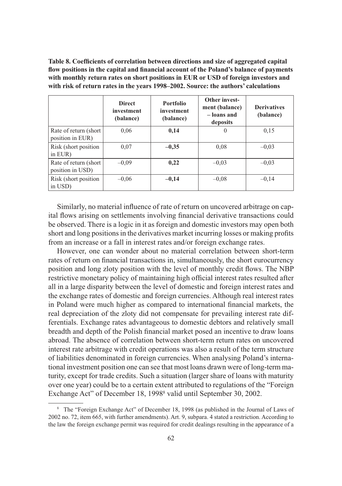Table 8. Coefficients of correlation between directions and size of aggregated capital flow positions in the capital and financial account of the Poland's balance of payments **with monthly return rates on short positions in EUR or USD of foreign investors and with risk of return rates in the years 1998–2002. Source: the authors' calculations**

|                                            | <b>Direct</b><br>investment<br>(balance) | <b>Portfolio</b><br>investment<br>(balance) | Other invest-<br>ment (balance)<br>- loans and<br>deposits | <b>Derivatives</b><br>(balance) |
|--------------------------------------------|------------------------------------------|---------------------------------------------|------------------------------------------------------------|---------------------------------|
| Rate of return (short)<br>position in EUR) | 0.06                                     | 0,14                                        | $\Omega$                                                   | 0,15                            |
| Risk (short position)<br>in EUR)           | 0.07                                     | $-0,35$                                     | 0.08                                                       | $-0.03$                         |
| Rate of return (short)<br>position in USD) | $-0.09$                                  | 0,22                                        | $-0.03$                                                    | $-0.03$                         |
| Risk (short position)<br>in USD)           | $-0.06$                                  | $-0,14$                                     | $-0.08$                                                    | $-0,14$                         |

Similarly, no material influence of rate of return on uncovered arbitrage on capital flows arising on settlements involving financial derivative transactions could be observed. There is a logic in it as foreign and domestic investors may open both short and long positions in the derivatives market incurring losses or making profits from an increase or a fall in interest rates and/or foreign exchange rates.

However, one can wonder about no material correlation between short-term rates of return on financial transactions in, simultaneously, the short eurocurrency position and long zloty position with the level of monthly credit flows. The NBP restrictive monetary policy of maintaining high official interest rates resulted after all in a large disparity between the level of domestic and foreign interest rates and the exchange rates of domestic and foreign currencies. Although real interest rates in Poland were much higher as compared to international financial markets, the real depreciation of the zloty did not compensate for prevailing interest rate differentials. Exchange rates advantageous to domestic debtors and relatively small breadth and depth of the Polish financial market posed an incentive to draw loans abroad. The absence of correlation between short-term return rates on uncovered interest rate arbitrage with credit operations was also a result of the term structure of liabilities denominated in foreign currencies. When analysing Poland's international investment position one can see that most loans drawn were of long-term maturity, except for trade credits. Such a situation (larger share of loans with maturity over one year) could be to a certain extent attributed to regulations of the "Foreign Exchange Act" of December 18, 1998<sup>8</sup> valid until September 30, 2002.

<sup>8</sup> The "Foreign Exchange Act" of December 18, 1998 (as published in the Journal of Laws of 2002 no. 72, item 665, with further amendments). Art. 9, subpara. 4 stated a restriction. According to the law the foreign exchange permit was required for credit dealings resulting in the appearance of a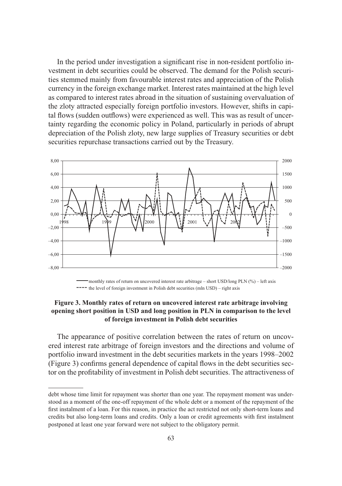In the period under investigation a significant rise in non-resident portfolio investment in debt securities could be observed. The demand for the Polish securities stemmed mainly from favourable interest rates and appreciation of the Polish currency in the foreign exchange market. Interest rates maintained at the high level as compared to interest rates abroad in the situation of sustaining overvaluation of the zloty attracted especially foreign portfolio investors. However, shifts in capital flows (sudden outflows) were experienced as well. This was as result of uncertainty regarding the economic policy in Poland, particularly in periods of abrupt depreciation of the Polish zloty, new large supplies of Treasury securities or debt securities repurchase transactions carried out by the Treasury.



monthly rates of return on uncovered interest rate arbitrage – short USD/long PLN (%) – left axis ---- the level of foreign investment in Polish debt securities (mln USD) – right axis

#### **Figure 3. Monthly rates of return on uncovered interest rate arbitrage involving opening short position in USD and long position in PLN in comparison to the level of foreign investment in Polish debt securities**

The appearance of positive correlation between the rates of return on uncovered interest rate arbitrage of foreign investors and the directions and volume of portfolio inward investment in the debt securities markets in the years 1998–2002 (Figure 3) confirms general dependence of capital flows in the debt securities sector on the profi tability of investment in Polish debt securities. The attractiveness of

debt whose time limit for repayment was shorter than one year. The repayment moment was understood as a moment of the one-off repayment of the whole debt or a moment of the repayment of the first instalment of a loan. For this reason, in practice the act restricted not only short-term loans and credits but also long-term loans and credits. Only a loan or credit agreements with first instalment postponed at least one year forward were not subject to the obligatory permit.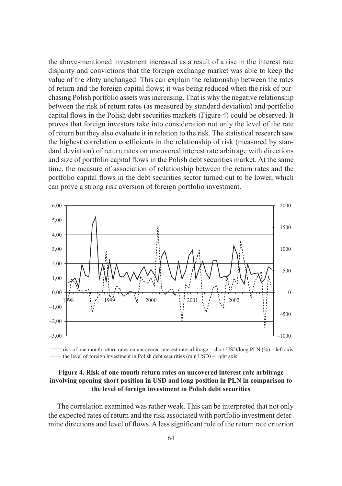the above-mentioned investment increased as a result of a rise in the interest rate disparity and convictions that the foreign exchange market was able to keep the value of the zloty unchanged. This can explain the relationship between the rates of return and the foreign capital flows; it was being reduced when the risk of purchasing Polish portfolio assets was increasing. That is why the negative relationship between the risk of return rates (as measured by standard deviation) and portfolio capital flows in the Polish debt securities markets (Figure 4) could be observed. It proves that foreign investors take into consideration not only the level of the rate of return but they also evaluate it in relation to the risk. The statistical research saw the highest correlation coefficients in the relationship of risk (measured by standard deviation) of return rates on uncovered interest rate arbitrage with directions and size of portfolio capital flows in the Polish debt securities market. At the same time, the measure of association of relationship between the return rates and the portfolio capital flows in the debt securities sector turned out to be lower, which can prove a strong risk aversion of foreign portfolio investment.



risk of one month return rates on uncovered interest rate arbitrage – short USD/long PLN (%) – left axis  $--$  the level of foreign investment in Polish debt securities (mln USD) – right axis

#### **Figure 4. Risk of one month return rates on uncovered interest rate arbitrage involving opening short position in USD and long position in PLN in comparison to the level of foreign investment in Polish debt securities**

The correlation examined was rather weak. This can be interpreted that not only the expected rates of return and the risk associated with portfolio investment determine directions and level of flows. A less significant role of the return rate criterion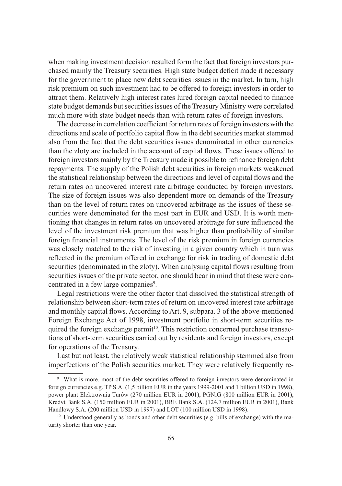when making investment decision resulted form the fact that foreign investors purchased mainly the Treasury securities. High state budget deficit made it necessary for the government to place new debt securities issues in the market. In turn, high risk premium on such investment had to be offered to foreign investors in order to attract them. Relatively high interest rates lured foreign capital needed to finance state budget demands but securities issues of the Treasury Ministry were correlated much more with state budget needs than with return rates of foreign investors.

The decrease in correlation coefficient for return rates of foreign investors with the directions and scale of portfolio capital flow in the debt securities market stemmed also from the fact that the debt securities issues denominated in other currencies than the zloty are included in the account of capital flows. These issues offered to foreign investors mainly by the Treasury made it possible to refinance foreign debt repayments. The supply of the Polish debt securities in foreign markets weakened the statistical relationship between the directions and level of capital flows and the return rates on uncovered interest rate arbitrage conducted by foreign investors. The size of foreign issues was also dependent more on demands of the Treasury than on the level of return rates on uncovered arbitrage as the issues of these securities were denominated for the most part in EUR and USD. It is worth mentioning that changes in return rates on uncovered arbitrage for sure influenced the level of the investment risk premium that was higher than profitability of similar foreign financial instruments. The level of the risk premium in foreign currencies was closely matched to the risk of investing in a given country which in turn was reflected in the premium offered in exchange for risk in trading of domestic debt securities (denominated in the zloty). When analysing capital flows resulting from securities issues of the private sector, one should bear in mind that these were concentrated in a few large companies<sup>9</sup>.

Legal restrictions were the other factor that dissolved the statistical strength of relationship between short-term rates of return on uncovered interest rate arbitrage and monthly capital flows. According to Art. 9, subpara. 3 of the above-mentioned Foreign Exchange Act of 1998, investment portfolio in short-term securities required the foreign exchange permit<sup>10</sup>. This restriction concerned purchase transactions of short-term securities carried out by residents and foreign investors, except for operations of the Treasury.

Last but not least, the relatively weak statistical relationship stemmed also from imperfections of the Polish securities market. They were relatively frequently re-

<sup>9</sup> What is more, most of the debt securities offered to foreign investors were denominated in foreign currencies e.g. TP S.A. (1,5 billion EUR in the years 1999-2001 and 1 billion USD in 1998), power plant Elektrownia Turów (270 million EUR in 2001), PGNiG (800 million EUR in 2001), Kredyt Bank S.A. (150 million EUR in 2001), BRE Bank S.A. (124,7 million EUR in 2001), Bank Handlowy S.A. (200 million USD in 1997) and LOT (100 million USD in 1998).

 $10$  Understood generally as bonds and other debt securities (e.g. bills of exchange) with the maturity shorter than one year.